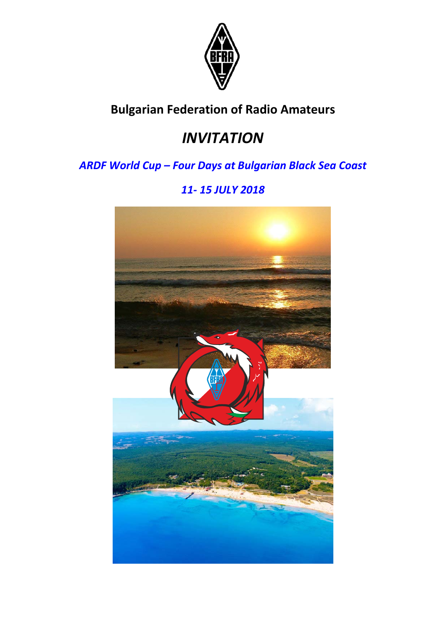

## **Bulgarian Federation of Radio Amateurs**

# *INVITATION*

## *ARDF World Cup – Four Days at Bulgarian Black Sea Coast*

## *11‐ 15 JULY 2018*

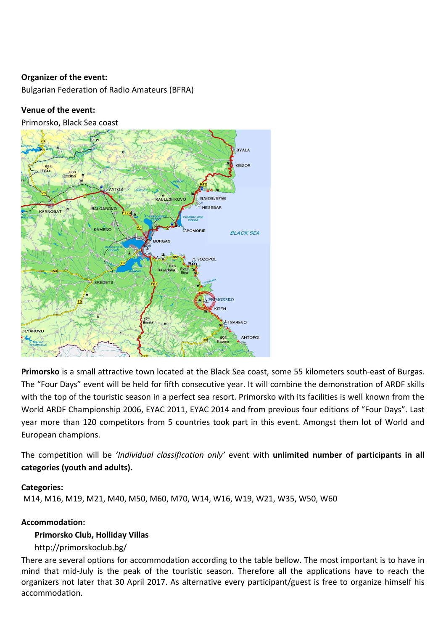#### **Organizer of the event:**

Bulgarian Federation of Radio Amateurs (BFRA)

#### **Venue of the event:**

Primorsko, Black Sea coast



**Primorsko** is a small attractive town located at the Black Sea coast, some 55 kilometers south‐east of Burgas. The "Four Days" event will be held for fifth consecutive year. It will combine the demonstration of ARDF skills with the top of the touristic season in a perfect sea resort. Primorsko with its facilities is well known from the World ARDF Championship 2006, EYAC 2011, EYAC 2014 and from previous four editions of "Four Days". Last year more than 120 competitors from 5 countries took part in this event. Amongst them lot of World and European champions.

The competition will be *'Individual classification only'* event with **unlimited number of participants in all categories (youth and adults).** 

#### **Categories:**

M14, M16, M19, M21, M40, M50, M60, M70, W14, W16, W19, W21, W35, W50, W60

#### **Accommodation:**

#### **Primorsko Club, Holliday Villas**

http://primorskoclub.bg/

There are several options for accommodation according to the table bellow. The most important is to have in mind that mid‐July is the peak of the touristic season. Therefore all the applications have to reach the organizers not later that 30 April 2017. As alternative every participant/guest is free to organize himself his accommodation.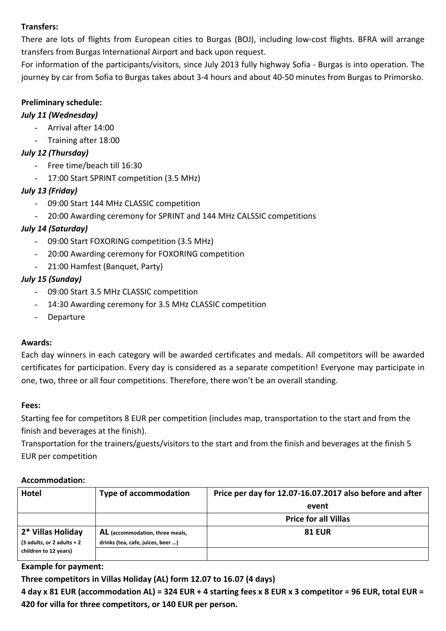### **Transfers:**

There are lots of flights from European cities to Burgas (BOJ), including low-cost flights. BFRA will arrange transfers from Burgas International Airport and back upon request.

For information of the participants/visitors, since July 2013 fully highway Sofia ‐ Burgas is into operation. The journey by car from Sofia to Burgas takes about 3‐4 hours and about 40‐50 minutes from Burgas to Primorsko.

#### **Preliminary schedule:**

### *July 11 (Wednesday)*

- Arrival after 14:00
- Training after 18:00

## *July 12 (Thursday)*

- Free time/beach till 16:30
- 17:00 Start SPRINT competition (3.5 MHz)

## *July 13 (Friday)*

- 09:00 Start 144 MHz CLASSIC competition
- 20:00 Awarding ceremony for SPRINT and 144 MHz CALSSIC competitions

## *July 14 (Saturday)*

- 09:00 Start FOXORING competition (3.5 MHz)
- 20:00 Awarding ceremony for FOXORING competition
- 21:00 Hamfest (Banquet, Party)

## *July 15 (Sunday)*

- 09:00 Start 3.5 MHz CLASSIC competition
- 14:30 Awarding ceremony for 3.5 MHz CLASSIC competition
- Departure

#### **Awards:**

Each day winners in each category will be awarded certificates and medals. All competitors will be awarded certificates for participation. Every day is considered as a separate competition! Everyone may participate in one, two, three or all four competitions. Therefore, there won't be an overall standing.

#### **Fees:**

Starting fee for competitors 8 EUR per competition (includes map, transportation to the start and from the finish and beverages at the finish).

Transportation for the trainers/guests/visitors to the start and from the finish and beverages at the finish 5 EUR per competition

#### **Accommodation:**

| <b>Hotel</b>                                      | <b>Type of accommodation</b>                                         | Price per day for 12.07-16.07.2017 also before and after |
|---------------------------------------------------|----------------------------------------------------------------------|----------------------------------------------------------|
|                                                   |                                                                      | event                                                    |
|                                                   |                                                                      | <b>Price for all Villas</b>                              |
| 2* Villas Holiday<br>$(3$ adults, or 2 adults + 2 | AL (accommodation, three meals,<br>drinks (tea, cafe, juices, beer ) | <b>81 EUR</b>                                            |
| children to 12 years)                             |                                                                      |                                                          |

#### **Example for payment:**

**Three competitors in Villas Holiday (AL) form 12.07 to 16.07 (4 days)** 

**4 day x 81 EUR (accommodation AL) = 324 EUR + 4 starting fees x 8 EUR х 3 competitor = 96 EUR, total EUR = 420 for villa for three competitors, or 140 EUR per person.**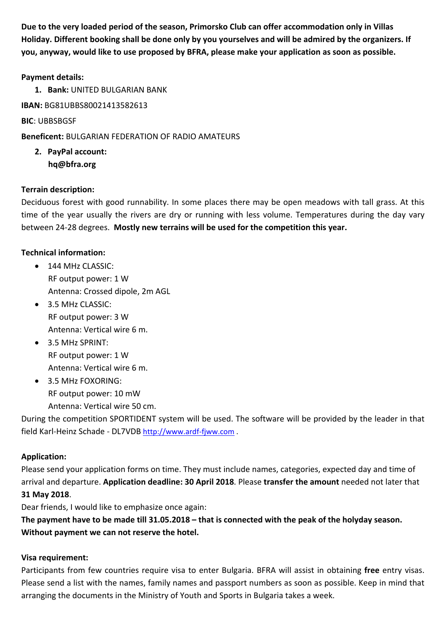**Due to the very loaded period of the season, Primorsko Club can offer accommodation only in Villas Holiday. Different booking shall be done only by you yourselves and will be admired by the organizers. If you, anyway, would like to use proposed by BFRA, please make your application as soon as possible.** 

#### **Payment details:**

**1. Bank:** UNITED BULGARIAN BANK

**IBAN:** BG81UBBS80021413582613

**BIC**: UBBSBGSF

**Beneficent:** BULGARIAN FEDERATION OF RADIO AMATEURS

**2. PayPal account: hq@bfra.org** 

#### **Terrain description:**

Deciduous forest with good runnability. In some places there may be open meadows with tall grass. At this time of the year usually the rivers are dry or running with less volume. Temperatures during the day vary between 24‐28 degrees. **Mostly new terrains will be used for the competition this year.**

#### **Technical information:**

- $\bullet$  144 MHz CLASSIC: RF output power: 1 W Antenna: Crossed dipole, 2m AGL
- 3.5 MHz CLASSIC: RF output power: 3 W Antenna: Vertical wire 6 m.
- 3.5 MHz SPRINT: RF output power: 1 W Antenna: Vertical wire 6 m.
- 3.5 MHz FOXORING: RF output power: 10 mW Antenna: Vertical wire 50 cm.

During the competition SPORTIDENT system will be used. The software will be provided by the leader in that field Karl‐Heinz Schade ‐ DL7VDB http://www.ardf‐fjww.com .

#### **Application:**

Please send your application forms on time. They must include names, categories, expected day and time of arrival and departure. **Application deadline: 30 April 2018**. Please **transfer the amount** needed not later that **31 May 2018**.

Dear friends, I would like to emphasize once again:

**The payment have to be made till 31.05.2018 – that is connected with the peak of the holyday season. Without payment we can not reserve the hotel.** 

#### **Visa requirement:**

Participants from few countries require visa to enter Bulgaria. BFRA will assist in obtaining **free** entry visas. Please send a list with the names, family names and passport numbers as soon as possible. Keep in mind that arranging the documents in the Ministry of Youth and Sports in Bulgaria takes a week.